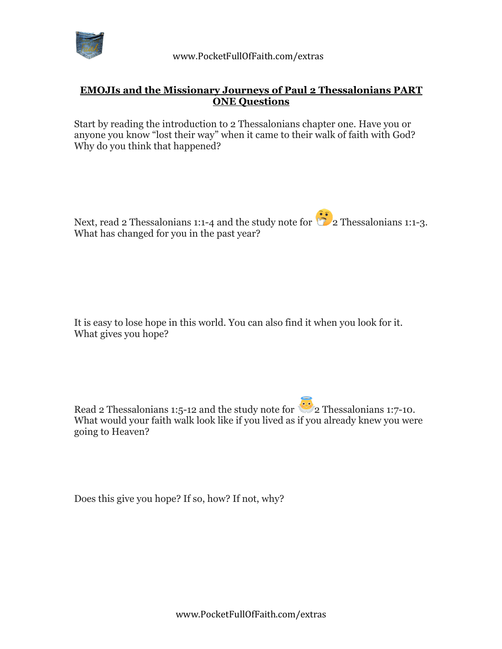

## **EMOJIs and the Missionary Journeys of Paul 2 Thessalonians PART ONE Questions**

Start by reading the introduction to 2 Thessalonians chapter one. Have you or anyone you know "lost their way" when it came to their walk of faith with God? Why do you think that happened?

Next, read 2 Thessalonians 1:1-4 and the study note for  $\frac{1}{2}$  2 Thessalonians 1:1-3. What has changed for you in the past year?

It is easy to lose hope in this world. You can also find it when you look for it. What gives you hope?

Read 2 Thessalonians 1:5-12 and the study note for  $\bullet$  2 Thessalonians 1:7-10. What would your faith walk look like if you lived as if you already knew you were going to Heaven?

Does this give you hope? If so, how? If not, why?